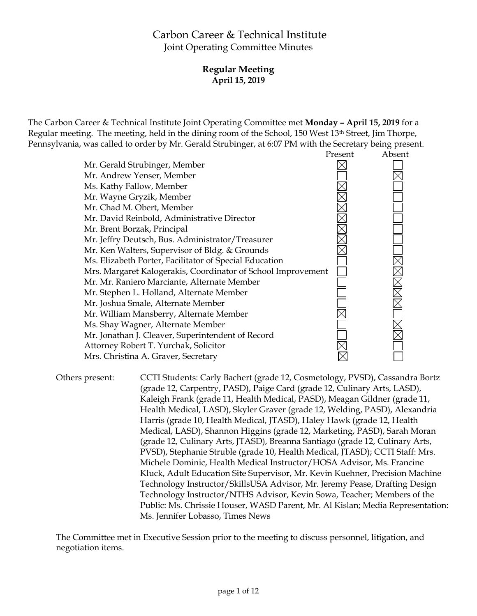# Carbon Career & Technical Institute Joint Operating Committee Minutes

# **Regular Meeting April 15, 2019**

The Carbon Career & Technical Institute Joint Operating Committee met **Monday – April 15, 2019** for a Regular meeting. The meeting, held in the dining room of the School, 150 West 13th Street, Jim Thorpe, Pennsylvania, was called to order by Mr. Gerald Strubinger, at 6:07 PM with the Secretary being present.



Others present: CCTI Students: Carly Bachert (grade 12, Cosmetology, PVSD), Cassandra Bortz (grade 12, Carpentry, PASD), Paige Card (grade 12, Culinary Arts, LASD), Kaleigh Frank (grade 11, Health Medical, PASD), Meagan Gildner (grade 11, Health Medical, LASD), Skyler Graver (grade 12, Welding, PASD), Alexandria Harris (grade 10, Health Medical, JTASD), Haley Hawk (grade 12, Health Medical, LASD), Shannon Higgins (grade 12, Marketing, PASD), Sarah Moran (grade 12, Culinary Arts, JTASD), Breanna Santiago (grade 12, Culinary Arts, PVSD), Stephanie Struble (grade 10, Health Medical, JTASD); CCTI Staff: Mrs. Michele Dominic, Health Medical Instructor/HOSA Advisor, Ms. Francine Kluck, Adult Education Site Supervisor, Mr. Kevin Kuehner, Precision Machine Technology Instructor/SkillsUSA Advisor, Mr. Jeremy Pease, Drafting Design Technology Instructor/NTHS Advisor, Kevin Sowa, Teacher; Members of the Public: Ms. Chrissie Houser, WASD Parent, Mr. Al Kislan; Media Representation: Ms. Jennifer Lobasso, Times News

The Committee met in Executive Session prior to the meeting to discuss personnel, litigation, and negotiation items.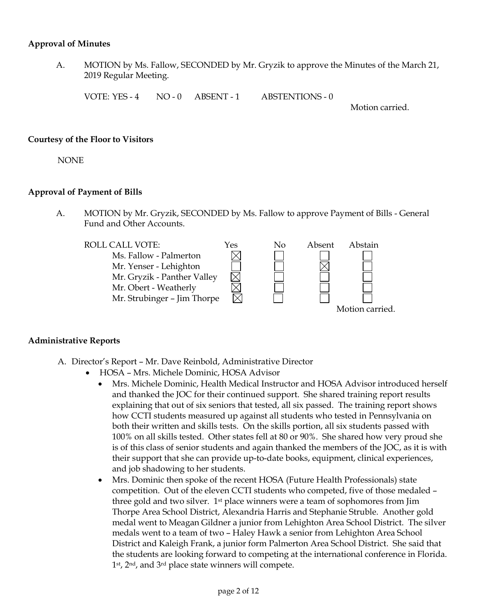#### **Approval of Minutes**

A. MOTION by Ms. Fallow, SECONDED by Mr. Gryzik to approve the Minutes of the March 21, 2019 Regular Meeting.

VOTE: YES - 4 NO - 0 ABSENT - 1 ABSTENTIONS - 0

Motion carried.

#### **Courtesy of the Floor to Visitors**

NONE

## **Approval of Payment of Bills**

A. MOTION by Mr. Gryzik, SECONDED by Ms. Fallow to approve Payment of Bills - General Fund and Other Accounts.



## **Administrative Reports**

- A. Director's Report Mr. Dave Reinbold, Administrative Director
	- HOSA Mrs. Michele Dominic, HOSA Advisor
		- Mrs. Michele Dominic, Health Medical Instructor and HOSA Advisor introduced herself and thanked the JOC for their continued support. She shared training report results explaining that out of six seniors that tested, all six passed. The training report shows how CCTI students measured up against all students who tested in Pennsylvania on both their written and skills tests. On the skills portion, all six students passed with 100% on all skills tested. Other states fell at 80 or 90%. She shared how very proud she is of this class of senior students and again thanked the members of the JOC, as it is with their support that she can provide up-to-date books, equipment, clinical experiences, and job shadowing to her students.
		- Mrs. Dominic then spoke of the recent HOSA (Future Health Professionals) state competition. Out of the eleven CCTI students who competed, five of those medaled – three gold and two silver. 1st place winners were a team of sophomores from Jim Thorpe Area School District, Alexandria Harris and Stephanie Struble. Another gold medal went to Meagan Gildner a junior from Lehighton Area School District. The silver medals went to a team of two – Haley Hawk a senior from Lehighton Area School District and Kaleigh Frank, a junior form Palmerton Area School District. She said that the students are looking forward to competing at the international conference in Florida. 1st, 2nd, and 3rd place state winners will compete.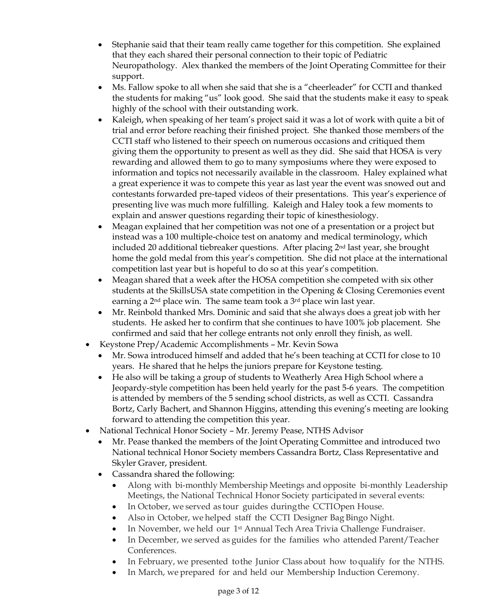- Stephanie said that their team really came together for this competition. She explained that they each shared their personal connection to their topic of Pediatric Neuropathology. Alex thanked the members of the Joint Operating Committee for their support.
- Ms. Fallow spoke to all when she said that she is a "cheerleader" for CCTI and thanked the students for making "us" look good. She said that the students make it easy to speak highly of the school with their outstanding work.
- Kaleigh, when speaking of her team's project said it was a lot of work with quite a bit of trial and error before reaching their finished project. She thanked those members of the CCTI staff who listened to their speech on numerous occasions and critiqued them giving them the opportunity to present as well as they did. She said that HOSA is very rewarding and allowed them to go to many symposiums where they were exposed to information and topics not necessarily available in the classroom. Haley explained what a great experience it was to compete this year as last year the event was snowed out and contestants forwarded pre-taped videos of their presentations. This year's experience of presenting live was much more fulfilling. Kaleigh and Haley took a few moments to explain and answer questions regarding their topic of kinesthesiology.
- Meagan explained that her competition was not one of a presentation or a project but instead was a 100 multiple-choice test on anatomy and medical terminology, which included 20 additional tiebreaker questions. After placing 2nd last year, she brought home the gold medal from this year's competition. She did not place at the international competition last year but is hopeful to do so at this year's competition.
- Meagan shared that a week after the HOSA competition she competed with six other students at the SkillsUSA state competition in the Opening & Closing Ceremonies event earning a  $2<sup>nd</sup>$  place win. The same team took a  $3<sup>rd</sup>$  place win last year.
- Mr. Reinbold thanked Mrs. Dominic and said that she always does a great job with her students. He asked her to confirm that she continues to have 100% job placement. She confirmed and said that her college entrants not only enroll they finish, as well.
- Keystone Prep/Academic Accomplishments Mr. Kevin Sowa
	- Mr. Sowa introduced himself and added that he's been teaching at CCTI for close to 10 years. He shared that he helps the juniors prepare for Keystone testing.
	- He also will be taking a group of students to Weatherly Area High School where a Jeopardy-style competition has been held yearly for the past 5-6 years. The competition is attended by members of the 5 sending school districts, as well as CCTI. Cassandra Bortz, Carly Bachert, and Shannon Higgins, attending this evening's meeting are looking forward to attending the competition this year.
- National Technical Honor Society Mr. Jeremy Pease, NTHS Advisor
	- Mr. Pease thanked the members of the Joint Operating Committee and introduced two National technical Honor Society members Cassandra Bortz, Class Representative and Skyler Graver, president.
	- Cassandra shared the following:
		- Along with bi-monthly Membership Meetings and opposite bi-monthly Leadership Meetings, the National Technical Honor Society participated in several events:
		- In October, we served as tour guides duringthe CCTIOpen House.
		- Also in October, we helped staff the CCTI Designer Bag Bingo Night.
		- In November, we held our 1st Annual Tech Area Trivia Challenge Fundraiser.
		- In December, we served as guides for the families who attended Parent/Teacher Conferences.
		- In February, we presented tothe Junior Class about how toqualify for the NTHS.
		- In March, we prepared for and held our Membership Induction Ceremony.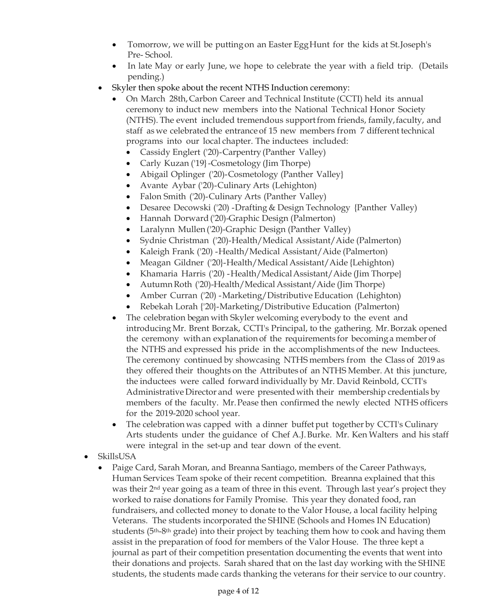- Tomorrow, we will be putting on an Easter Egg Hunt for the kids at St. Joseph's Pre- School.
- In late May or early June, we hope to celebrate the year with a field trip. (Details pending.)
- Skyler then spoke about the recent NTHS Induction ceremony:
	- On March 28th,Carbon Career and Technical Institute (CCTI) held its annual ceremony to induct new members into the National Technical Honor Society (NTHS). The event included tremendous supportfrom friends, family,faculty, and staff as we celebrated the entrance of 15 new members from 7 different technical programs into our local chapter. The inductees included:
		- Cassidy Englert ('20)-Carpentry (Panther Valley)
		- Carly Kuzan ('19} Cosmetology (Jim Thorpe)
		- Abigail Oplinger ('20)-Cosmetology (Panther Valley}
		- Avante Aybar ('20)-Culinary Arts (Lehighton)
		- Falon Smith ('20)-Culinary Arts (Panther Valley)
		- Desaree Decowski ('20) -Drafting & Design Technology {Panther Valley)
		- Hannah Dorward ('20)-Graphic Design (Palmerton)
		- Laralynn Mullen ('20)-Graphic Design (Panther Valley)
		- Sydnie Christman ('20)-Health/Medical Assistant/Aide (Palmerton)
		- Kaleigh Frank ('20) Health/Medical Assistant/Aide (Palmerton)
		- Meagan Gildner ('20}-Health/Medical Assistant/Aide {Lehighton)
		- Khamaria Harris ('20) Health/Medical Assistant/Aide (Jim Thorpe}
		- Autumn Roth ('20)-Health/Medical Assistant/Aide (Jim Thorpe)
		- Amber Curran ('20) -Marketing/Distributive Education (Lehighton)
		- Rebekah Lorah {'20}-Marketing/Distributive Education (Palmerton)
	- The celebration began with Skyler welcoming everybody to the event and introducing Mr. Brent Borzak, CCTI's Principal, to the gathering. Mr.Borzak opened the ceremony withan explanation of the requirements for becominga member of the NTHS and expressed his pride in the accomplishments of the new Inductees. The ceremony continued by showcasing NTHS members from the Class of 2019 as they offered their thoughts on the Attributes of an NTHS Member. At this juncture, the inductees were called forward individually by Mr. David Reinbold, CCTI's AdministrativeDirector and were presentedwith their membership credentials by members of the faculty. Mr.Pease then confirmed the newly elected NTHS officers for the 2019-2020 school year.
	- The celebration was capped with a dinner buffet put together by CCTI's Culinary Arts students under the guidance of Chef A.J.Burke. Mr. Ken Walters and his staff were integral in the set-up and tear down of the event.
- SkillsUSA
	- Paige Card, Sarah Moran, and Breanna Santiago, members of the Career Pathways, Human Services Team spoke of their recent competition. Breanna explained that this was their  $2<sup>nd</sup>$  year going as a team of three in this event. Through last year's project they worked to raise donations for Family Promise. This year they donated food, ran fundraisers, and collected money to donate to the Valor House, a local facility helping Veterans. The students incorporated the SHINE (Schools and Homes IN Education) students ( $5<sup>th</sup>-8<sup>th</sup>$  grade) into their project by teaching them how to cook and having them assist in the preparation of food for members of the Valor House. The three kept a journal as part of their competition presentation documenting the events that went into their donations and projects. Sarah shared that on the last day working with the SHINE students, the students made cards thanking the veterans for their service to our country.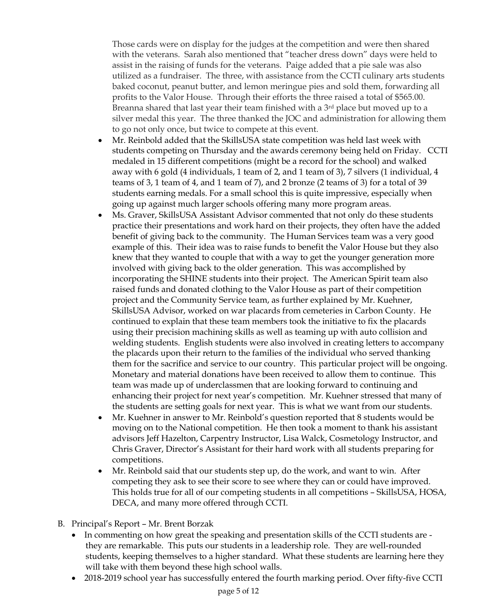Those cards were on display for the judges at the competition and were then shared with the veterans. Sarah also mentioned that "teacher dress down" days were held to assist in the raising of funds for the veterans. Paige added that a pie sale was also utilized as a fundraiser. The three, with assistance from the CCTI culinary arts students baked coconut, peanut butter, and lemon meringue pies and sold them, forwarding all profits to the Valor House. Through their efforts the three raised a total of \$565.00. Breanna shared that last year their team finished with a 3<sup>rd</sup> place but moved up to a silver medal this year. The three thanked the JOC and administration for allowing them to go not only once, but twice to compete at this event.

- Mr. Reinbold added that the SkillsUSA state competition was held last week with students competing on Thursday and the awards ceremony being held on Friday. CCTI medaled in 15 different competitions (might be a record for the school) and walked away with 6 gold (4 individuals, 1 team of 2, and 1 team of 3), 7 silvers (1 individual, 4 teams of 3, 1 team of 4, and 1 team of 7), and 2 bronze (2 teams of 3) for a total of 39 students earning medals. For a small school this is quite impressive, especially when going up against much larger schools offering many more program areas.
- Ms. Graver, SkillsUSA Assistant Advisor commented that not only do these students practice their presentations and work hard on their projects, they often have the added benefit of giving back to the community. The Human Services team was a very good example of this. Their idea was to raise funds to benefit the Valor House but they also knew that they wanted to couple that with a way to get the younger generation more involved with giving back to the older generation. This was accomplished by incorporating the SHINE students into their project. The American Spirit team also raised funds and donated clothing to the Valor House as part of their competition project and the Community Service team, as further explained by Mr. Kuehner, SkillsUSA Advisor, worked on war placards from cemeteries in Carbon County. He continued to explain that these team members took the initiative to fix the placards using their precision machining skills as well as teaming up with auto collision and welding students. English students were also involved in creating letters to accompany the placards upon their return to the families of the individual who served thanking them for the sacrifice and service to our country. This particular project will be ongoing. Monetary and material donations have been received to allow them to continue. This team was made up of underclassmen that are looking forward to continuing and enhancing their project for next year's competition. Mr. Kuehner stressed that many of the students are setting goals for next year. This is what we want from our students.
- Mr. Kuehner in answer to Mr. Reinbold's question reported that 8 students would be moving on to the National competition. He then took a moment to thank his assistant advisors Jeff Hazelton, Carpentry Instructor, Lisa Walck, Cosmetology Instructor, and Chris Graver, Director's Assistant for their hard work with all students preparing for competitions.
- Mr. Reinbold said that our students step up, do the work, and want to win. After competing they ask to see their score to see where they can or could have improved. This holds true for all of our competing students in all competitions – SkillsUSA, HOSA, DECA, and many more offered through CCTI.
- B. Principal's Report Mr. Brent Borzak
	- In commenting on how great the speaking and presentation skills of the CCTI students are they are remarkable. This puts our students in a leadership role. They are well-rounded students, keeping themselves to a higher standard. What these students are learning here they will take with them beyond these high school walls.
	- 2018-2019 school year has successfully entered the fourth marking period. Over fifty-five CCTI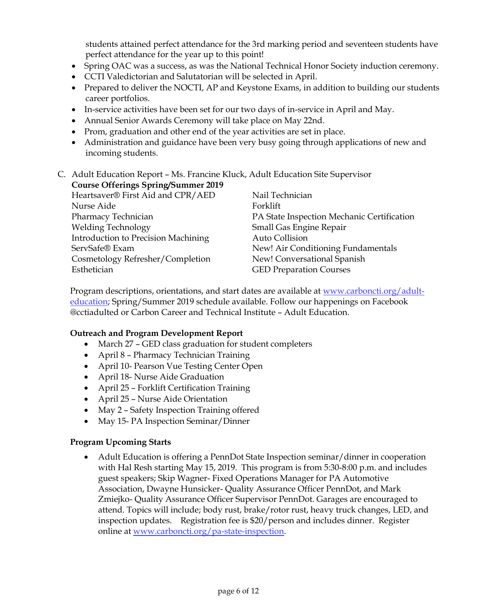students attained perfect attendance for the 3rd marking period and seventeen students have perfect attendance for the year up to this point!

- Spring OAC was a success, as was the National Technical Honor Society induction ceremony.
- CCTI Valedictorian and Salutatorian will be selected in April.
- Prepared to deliver the NOCTI, AP and Keystone Exams, in addition to building our students career portfolios.
- In-service activities have been set for our two days of in-service in April and May.
- Annual Senior Awards Ceremony will take place on May 22nd.
- Prom, graduation and other end of the year activities are set in place.
- Administration and guidance have been very busy going through applications of new and incoming students.

#### C. Adult Education Report – Ms. Francine Kluck, Adult Education Site Supervisor **Course Offerings Spring/Summer 2019**

| Heartsaver® First Aid and CPR/AED   | Nail Technician                            |
|-------------------------------------|--------------------------------------------|
| Nurse Aide                          | Forklift                                   |
| Pharmacy Technician                 | PA State Inspection Mechanic Certification |
| <b>Welding Technology</b>           | Small Gas Engine Repair                    |
| Introduction to Precision Machining | Auto Collision                             |
| ServSafe® Exam                      | New! Air Conditioning Fundamentals         |
| Cosmetology Refresher/Completion    | New! Conversational Spanish                |
| Esthetician                         | <b>GED Preparation Courses</b>             |

Program descriptions, orientations, and start dates are available at [www.carboncti.org/adult](http://www.carboncti.org/adult-education)[education;](http://www.carboncti.org/adult-education) Spring/Summer 2019 schedule available. Follow our happenings on Facebook @cctiadulted or Carbon Career and Technical Institute – Adult Education.

## **Outreach and Program Development Report**

- March 27 GED class graduation for student completers
- April 8 Pharmacy Technician Training
- April 10- Pearson Vue Testing Center Open
- April 18- Nurse Aide Graduation
- April 25 Forklift Certification Training
- April 25 Nurse Aide Orientation
- May 2 Safety Inspection Training offered
- May 15- PA Inspection Seminar/Dinner

## **Program Upcoming Starts**

 Adult Education is offering a PennDot State Inspection seminar/dinner in cooperation with Hal Resh starting May 15, 2019. This program is from 5:30-8:00 p.m. and includes guest speakers; Skip Wagner- Fixed Operations Manager for PA Automotive Association, Dwayne Hunsicker- Quality Assurance Officer PennDot, and Mark Zmiejko- Quality Assurance Officer Supervisor PennDot. Garages are encouraged to attend. Topics will include; body rust, brake/rotor rust, heavy truck changes, LED, and inspection updates. Registration fee is \$20/person and includes dinner. Register online at [www.carboncti.org/pa-state-inspection.](http://www.carboncti.org/pa-state-inspection)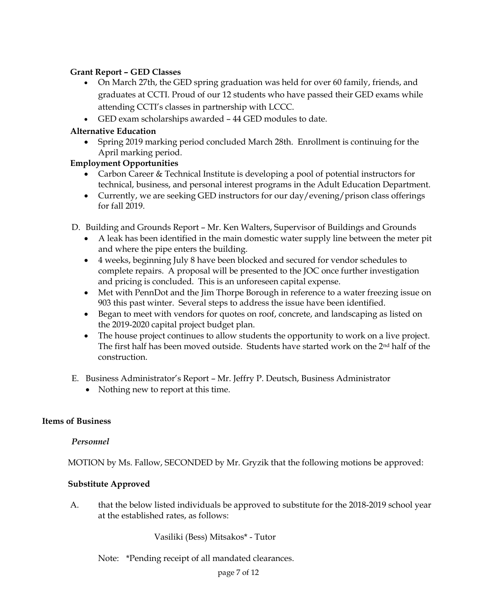## **Grant Report – GED Classes**

- On March 27th, the GED spring graduation was held for over 60 family, friends, and graduates at CCTI. Proud of our 12 students who have passed their GED exams while attending CCTI's classes in partnership with LCCC.
- GED exam scholarships awarded 44 GED modules to date.

# **Alternative Education**

 Spring 2019 marking period concluded March 28th. Enrollment is continuing for the April marking period.

# **Employment Opportunities**

- Carbon Career & Technical Institute is developing a pool of potential instructors for technical, business, and personal interest programs in the Adult Education Department.
- Currently, we are seeking GED instructors for our day/evening/prison class offerings for fall 2019.

D. Building and Grounds Report – Mr. Ken Walters, Supervisor of Buildings and Grounds

- A leak has been identified in the main domestic water supply line between the meter pit and where the pipe enters the building.
- 4 weeks, beginning July 8 have been blocked and secured for vendor schedules to complete repairs. A proposal will be presented to the JOC once further investigation and pricing is concluded. This is an unforeseen capital expense.
- Met with PennDot and the Jim Thorpe Borough in reference to a water freezing issue on 903 this past winter. Several steps to address the issue have been identified.
- Began to meet with vendors for quotes on roof, concrete, and landscaping as listed on the 2019-2020 capital project budget plan.
- The house project continues to allow students the opportunity to work on a live project. The first half has been moved outside. Students have started work on the 2nd half of the construction.
- E. Business Administrator's Report Mr. Jeffry P. Deutsch, Business Administrator
	- Nothing new to report at this time.

## **Items of Business**

## *Personnel*

MOTION by Ms. Fallow, SECONDED by Mr. Gryzik that the following motions be approved:

## **Substitute Approved**

A. that the below listed individuals be approved to substitute for the 2018-2019 school year at the established rates, as follows:

Vasiliki (Bess) Mitsakos\* - Tutor

Note: \*Pending receipt of all mandated clearances.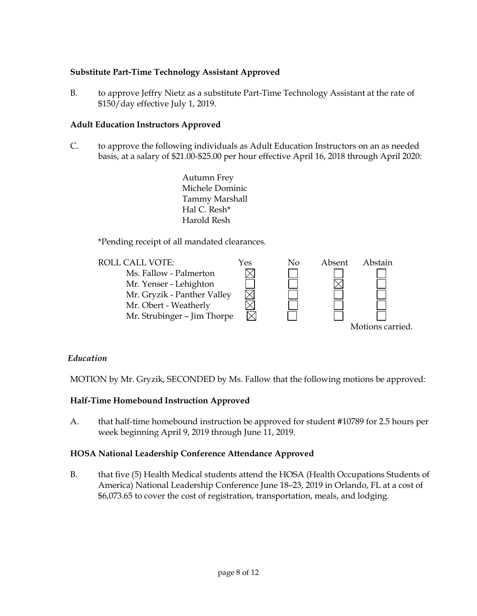# **Substitute Part-Time Technology Assistant Approved**

B. to approve Jeffry Nietz as a substitute Part-Time Technology Assistant at the rate of \$150/day effective July 1, 2019.

## **Adult Education Instructors Approved**

- C. to approve the following individuals as Adult Education Instructors on an as needed basis, at a salary of \$21.00-\$25.00 per hour effective April 16, 2018 through April 2020:
	- Autumn Frey Michele Dominic Tammy Marshall Hal C. Resh\* Harold Resh

\*Pending receipt of all mandated clearances.



## *Education*

MOTION by Mr. Gryzik, SECONDED by Ms. Fallow that the following motions be approved:

## **Half-Time Homebound Instruction Approved**

A. that half-time homebound instruction be approved for student #10789 for 2.5 hours per week beginning April 9, 2019 through June 11, 2019.

## **HOSA National Leadership Conference Attendance Approved**

B. that five (5) Health Medical students attend the HOSA (Health Occupations Students of America) National Leadership Conference June 18–23, 2019 in Orlando, FL at a cost of \$6,073.65 to cover the cost of registration, transportation, meals, and lodging.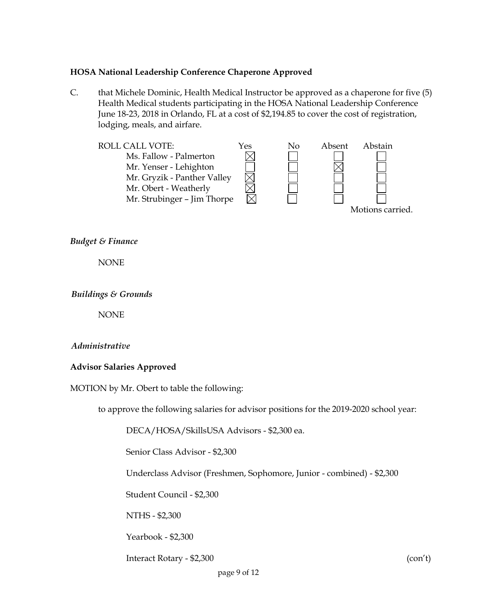#### **HOSA National Leadership Conference Chaperone Approved**

C. that Michele Dominic, Health Medical Instructor be approved as a chaperone for five (5) Health Medical students participating in the HOSA National Leadership Conference June 18-23, 2018 in Orlando, FL at a cost of \$2,194.85 to cover the cost of registration, lodging, meals, and airfare.



*Budget & Finance*

NONE

*Buildings & Grounds*

NONE

## *Administrative*

## **Advisor Salaries Approved**

MOTION by Mr. Obert to table the following:

to approve the following salaries for advisor positions for the 2019-2020 school year:

DECA/HOSA/SkillsUSA Advisors - \$2,300 ea.

Senior Class Advisor - \$2,300

Underclass Advisor (Freshmen, Sophomore, Junior - combined) - \$2,300

Student Council - \$2,300

NTHS - \$2,300

Yearbook - \$2,300

Interact Rotary - \$2,300 (con't)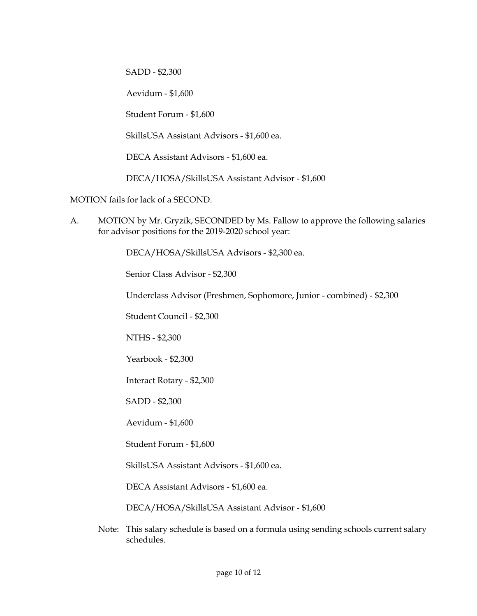SADD - \$2,300

Aevidum - \$1,600

Student Forum - \$1,600

SkillsUSA Assistant Advisors - \$1,600 ea.

DECA Assistant Advisors - \$1,600 ea.

DECA/HOSA/SkillsUSA Assistant Advisor - \$1,600

MOTION fails for lack of a SECOND.

A. MOTION by Mr. Gryzik, SECONDED by Ms. Fallow to approve the following salaries for advisor positions for the 2019-2020 school year:

DECA/HOSA/SkillsUSA Advisors - \$2,300 ea.

Senior Class Advisor - \$2,300

Underclass Advisor (Freshmen, Sophomore, Junior - combined) - \$2,300

Student Council - \$2,300

NTHS - \$2,300

Yearbook - \$2,300

Interact Rotary - \$2,300

SADD - \$2,300

Aevidum - \$1,600

Student Forum - \$1,600

SkillsUSA Assistant Advisors - \$1,600 ea.

DECA Assistant Advisors - \$1,600 ea.

DECA/HOSA/SkillsUSA Assistant Advisor - \$1,600

Note: This salary schedule is based on a formula using sending schools current salary schedules.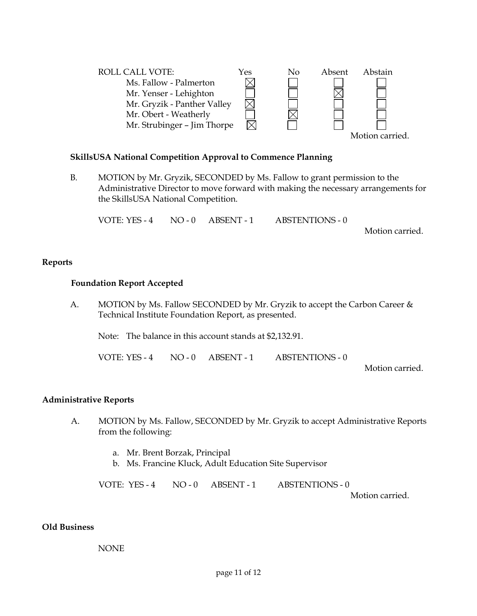

# **SkillsUSA National Competition Approval to Commence Planning**

B. MOTION by Mr. Gryzik, SECONDED by Ms. Fallow to grant permission to the Administrative Director to move forward with making the necessary arrangements for the SkillsUSA National Competition.

VOTE: YES - 4 NO - 0 ABSENT - 1 ABSTENTIONS - 0

Motion carried.

#### **Reports**

#### **Foundation Report Accepted**

A. MOTION by Ms. Fallow SECONDED by Mr. Gryzik to accept the Carbon Career & Technical Institute Foundation Report, as presented.

Note: The balance in this account stands at \$2,132.91.

VOTE: YES - 4 NO - 0 ABSENT - 1 ABSTENTIONS - 0

Motion carried.

## **Administrative Reports**

- A. MOTION by Ms. Fallow, SECONDED by Mr. Gryzik to accept Administrative Reports from the following:
	- a. Mr. Brent Borzak, Principal
	- b. Ms. Francine Kluck, Adult Education Site Supervisor

VOTE: YES - 4 NO - 0 ABSENT - 1 ABSTENTIONS - 0

Motion carried.

#### **Old Business**

#### NONE